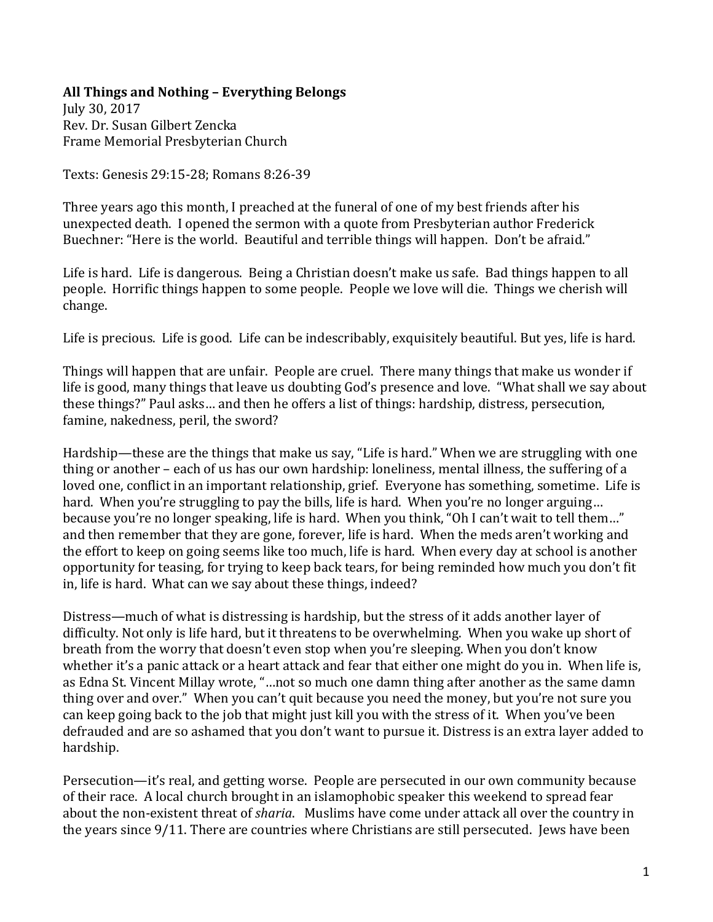## **All Things and Nothing – Everything Belongs**

July 30, 2017 Rev. Dr. Susan Gilbert Zencka Frame Memorial Presbyterian Church

Texts: Genesis 29:15-28; Romans 8:26-39

Three years ago this month, I preached at the funeral of one of my best friends after his unexpected death. I opened the sermon with a quote from Presbyterian author Frederick Buechner: "Here is the world. Beautiful and terrible things will happen. Don't be afraid."

Life is hard. Life is dangerous. Being a Christian doesn't make us safe. Bad things happen to all people. Horrific things happen to some people. People we love will die. Things we cherish will change.

Life is precious. Life is good. Life can be indescribably, exquisitely beautiful. But yes, life is hard.

Things will happen that are unfair. People are cruel. There many things that make us wonder if life is good, many things that leave us doubting God's presence and love. "What shall we say about these things?" Paul asks… and then he offers a list of things: hardship, distress, persecution, famine, nakedness, peril, the sword?

Hardship—these are the things that make us say, "Life is hard." When we are struggling with one thing or another – each of us has our own hardship: loneliness, mental illness, the suffering of a loved one, conflict in an important relationship, grief. Everyone has something, sometime. Life is hard. When you're struggling to pay the bills, life is hard. When you're no longer arguing... because you're no longer speaking, life is hard. When you think, "Oh I can't wait to tell them..." and then remember that they are gone, forever, life is hard. When the meds aren't working and the effort to keep on going seems like too much, life is hard. When every day at school is another opportunity for teasing, for trying to keep back tears, for being reminded how much you don't fit in, life is hard. What can we say about these things, indeed?

Distress—much of what is distressing is hardship, but the stress of it adds another layer of difficulty. Not only is life hard, but it threatens to be overwhelming. When you wake up short of breath from the worry that doesn't even stop when you're sleeping. When you don't know whether it's a panic attack or a heart attack and fear that either one might do you in. When life is, as Edna St. Vincent Millay wrote, "…not so much one damn thing after another as the same damn thing over and over." When you can't quit because you need the money, but you're not sure you can keep going back to the job that might just kill you with the stress of it. When you've been defrauded and are so ashamed that you don't want to pursue it. Distress is an extra layer added to hardship.

Persecution—it's real, and getting worse. People are persecuted in our own community because of their race. A local church brought in an islamophobic speaker this weekend to spread fear about the non-existent threat of *sharia*. Muslims have come under attack all over the country in the years since 9/11. There are countries where Christians are still persecuted. Jews have been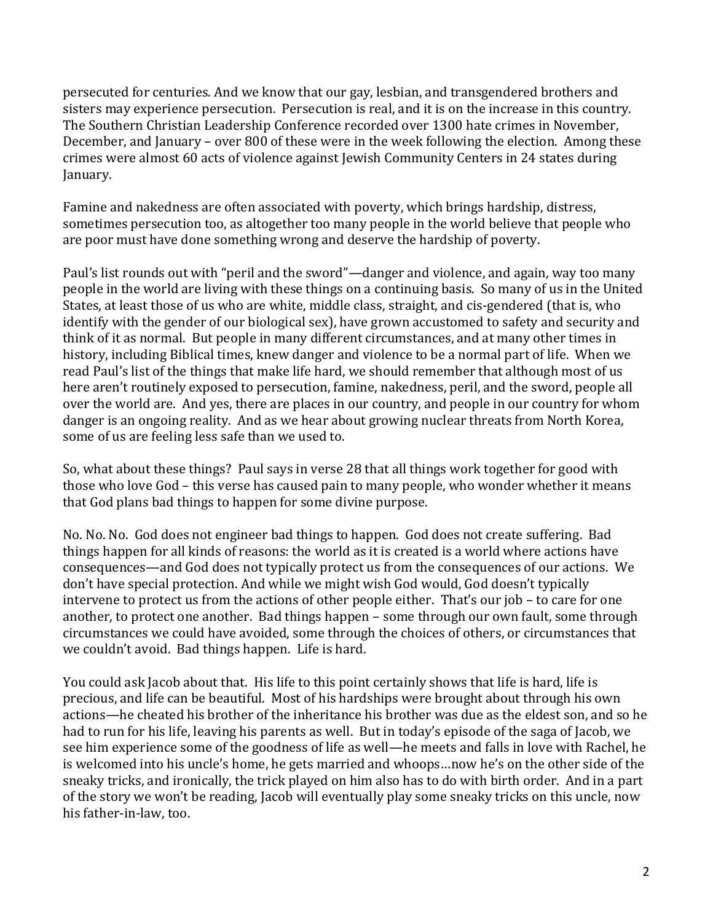persecuted for centuries. And we know that our gay, lesbian, and transgendered brothers and sisters may experience persecution. Persecution is real, and it is on the increase in this country. The Southern Christian Leadership Conference recorded over 1300 hate crimes in November, December, and January – over 800 of these were in the week following the election. Among these crimes were almost 60 acts of violence against Jewish Community Centers in 24 states during January.

Famine and nakedness are often associated with poverty, which brings hardship, distress, sometimes persecution too, as altogether too many people in the world believe that people who are poor must have done something wrong and deserve the hardship of poverty.

Paul's list rounds out with "peril and the sword"—danger and violence, and again, way too many people in the world are living with these things on a continuing basis. So many of us in the United States, at least those of us who are white, middle class, straight, and cis-gendered (that is, who identify with the gender of our biological sex), have grown accustomed to safety and security and think of it as normal. But people in many different circumstances, and at many other times in history, including Biblical times, knew danger and violence to be a normal part of life. When we read Paul's list of the things that make life hard, we should remember that although most of us here aren't routinely exposed to persecution, famine, nakedness, peril, and the sword, people all over the world are. And yes, there are places in our country, and people in our country for whom danger is an ongoing reality. And as we hear about growing nuclear threats from North Korea, some of us are feeling less safe than we used to.

So, what about these things? Paul says in verse 28 that all things work together for good with those who love God – this verse has caused pain to many people, who wonder whether it means that God plans bad things to happen for some divine purpose.

No. No. No. God does not engineer bad things to happen. God does not create suffering. Bad things happen for all kinds of reasons: the world as it is created is a world where actions have consequences—and God does not typically protect us from the consequences of our actions. We don't have special protection. And while we might wish God would, God doesn't typically intervene to protect us from the actions of other people either. That's our job – to care for one another, to protect one another. Bad things happen – some through our own fault, some through circumstances we could have avoided, some through the choices of others, or circumstances that we couldn't avoid. Bad things happen. Life is hard.

You could ask Jacob about that. His life to this point certainly shows that life is hard, life is precious, and life can be beautiful. Most of his hardships were brought about through his own actions—he cheated his brother of the inheritance his brother was due as the eldest son, and so he had to run for his life, leaving his parents as well. But in today's episode of the saga of Jacob, we see him experience some of the goodness of life as well—he meets and falls in love with Rachel, he is welcomed into his uncle's home, he gets married and whoops…now he's on the other side of the sneaky tricks, and ironically, the trick played on him also has to do with birth order. And in a part of the story we won't be reading, Jacob will eventually play some sneaky tricks on this uncle, now his father-in-law, too.